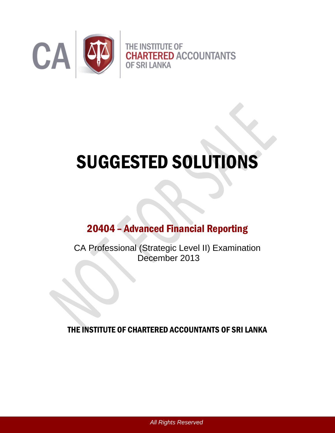

# SUGGESTED SOLUTIONS

# 20404 – Advanced Financial Reporting

CA Professional (Strategic Level II) Examination December 2013

THE INSTITUTE OF CHARTERED ACCOUNTANTS OF SRI LANKA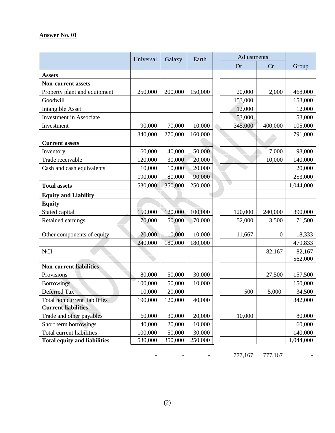|                                     | Universal | Galaxy  | Earth   | Adjustments |              |                   |
|-------------------------------------|-----------|---------|---------|-------------|--------------|-------------------|
|                                     |           |         |         | Dr          | Cr           | Group             |
| <b>Assets</b>                       |           |         |         |             |              |                   |
| <b>Non-current assets</b>           |           |         |         |             |              |                   |
| Property plant and equipment        | 250,000   | 200,000 | 150,000 | 20,000      | 2,000        | 468,000           |
| Goodwill                            |           |         |         | 153,000     |              | 153,000           |
| <b>Intangible Asset</b>             |           |         |         | 12,000      |              | 12,000            |
| <b>Investment</b> in Associate      |           |         |         | 53,000      |              | 53,000            |
| Investment                          | 90,000    | 70,000  | 10,000  | 345,000     | 400,000      | 105,000           |
|                                     | 340,000   | 270,000 | 160,000 |             |              | 791,000           |
| <b>Current assets</b>               |           |         |         |             |              |                   |
| Inventory                           | 60,000    | 40,000  | 50,000  |             | 7,000        | 93,000            |
| Trade receivable                    | 120,000   | 30,000  | 20,000  |             | 10,000       | 140,000           |
| Cash and cash equivalents           | 10,000    | 10,000  | 20,000  |             |              | 20,000            |
|                                     | 190,000   | 80,000  | 90,000  |             |              | 253,000           |
| <b>Total assets</b>                 | 530,000   | 350,000 | 250,000 |             |              | 1,044,000         |
| <b>Equity and Liability</b>         |           |         |         |             |              |                   |
| <b>Equity</b>                       |           |         |         |             |              |                   |
| Stated capital                      | 150,000   | 120,000 | 100,000 | 120,000     | 240,000      | 390,000           |
| Retained earnings                   | 70,000    | 50,000  | 70,000  | 52,000      | 3,500        | 71,500            |
|                                     |           |         |         |             |              |                   |
| Other components of equity          | 20,000    | 10,000  | 10,000  | 11,667      | $\mathbf{0}$ | 18,333            |
|                                     | 240,000   | 180,000 | 180,000 |             |              | 479,833           |
| <b>NCI</b>                          |           |         |         |             | 82,167       | 82,167<br>562,000 |
| <b>Non-current liabilities</b>      |           |         |         |             |              |                   |
| Provisions                          | 80,000    | 50,000  | 30,000  |             | 27,500       | 157,500           |
| <b>Borrowings</b>                   | 100,000   | 50,000  | 10,000  |             |              | 150,000           |
| Deferred Tax                        | 10,000    | 20,000  |         | 500         | 5,000        | 34,500            |
| Total non current liabilities       | 190,000   | 120,000 | 40,000  |             |              | 342,000           |
| <b>Current liabilities</b>          |           |         |         |             |              |                   |
| Trade and other payables            | 60,000    | 30,000  | 20,000  | 10,000      |              | 80,000            |
| Short term borrowings               | 40,000    | 20,000  | 10,000  |             |              | 60,000            |
| <b>Total current liabilities</b>    | 100,000   | 50,000  | 30,000  |             |              | 140,000           |
| <b>Total equity and liabilities</b> | 530,000   | 350,000 | 250,000 |             |              | 1,044,000         |

- **Contract Contract**  777,167 777,167 -

-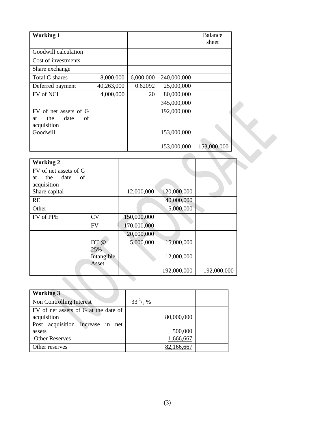| <b>Working 1</b>                                                |            |           |             | <b>Balance</b> |
|-----------------------------------------------------------------|------------|-----------|-------------|----------------|
|                                                                 |            |           |             | sheet          |
| Goodwill calculation                                            |            |           |             |                |
| Cost of investments                                             |            |           |             |                |
| Share exchange                                                  |            |           |             |                |
| <b>Total G shares</b>                                           | 8,000,000  | 6,000,000 | 240,000,000 |                |
| Deferred payment                                                | 40,263,000 | 0.62092   | 25,000,000  |                |
| FV of NCI                                                       | 4,000,000  | 20        | 80,000,000  |                |
|                                                                 |            |           | 345,000,000 |                |
| FV of net assets of G<br>the<br>date<br>of<br>at<br>acquisition |            |           | 192,000,000 |                |
| Goodwill                                                        |            |           | 153,000,000 |                |
|                                                                 |            |           | 153,000,000 | 153,000,000    |

| <b>Working 2</b>      |            |             |             |             |
|-----------------------|------------|-------------|-------------|-------------|
| FV of net assets of G |            |             |             |             |
| the date<br>of<br>at  |            |             |             |             |
| acquisition           |            |             |             |             |
| Share capital         |            | 12,000,000  | 120,000,000 |             |
| RE                    |            |             | 40,000,000  |             |
| Other                 |            |             | 5,000,000   |             |
| FV of PPE             | CV         | 150,000,000 |             |             |
|                       | <b>FV</b>  | 170,000,000 |             |             |
|                       |            | 20,000,000  |             |             |
|                       | DT @       | 5,000,000   | 15,000,000  |             |
|                       | 25%        |             |             |             |
|                       | Intangible |             | 12,000,000  |             |
|                       | Asset      |             |             |             |
|                       |            |             | 192,000,000 | 192,000,000 |
|                       |            |             |             |             |

| <b>Working 3</b>                     |                   |            |  |
|--------------------------------------|-------------------|------------|--|
| Non Controlling Interest             | $33\frac{1}{3}\%$ |            |  |
| FV of net assets of G at the date of |                   |            |  |
| acquisition                          |                   | 80,000,000 |  |
| Post acquisition Increase in net     |                   |            |  |
| assets                               |                   | 500,000    |  |
| <b>Other Reserves</b>                |                   | 1,666,667  |  |
| Other reserves                       |                   | 82,166,667 |  |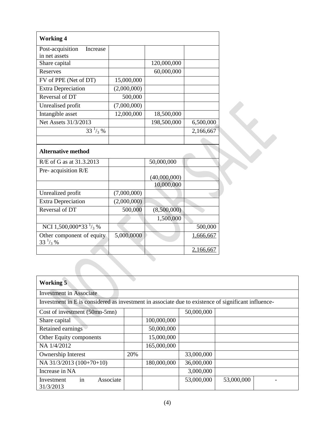| <b>Working 4</b>                          |             |              |           |
|-------------------------------------------|-------------|--------------|-----------|
| Post-acquisition<br>Increase              |             |              |           |
| in net assets                             |             |              |           |
| Share capital                             |             | 120,000,000  |           |
| <b>Reserves</b>                           |             | 60,000,000   |           |
| FV of PPE (Net of DT)                     | 15,000,000  |              |           |
| <b>Extra Depreciation</b>                 | (2,000,000) |              |           |
| Reversal of DT                            | 500,000     |              |           |
| Unrealised profit                         | (7,000,000) |              |           |
| Intangible asset                          | 12,000,000  | 18,500,000   |           |
| Net Assets 31/3/2013                      |             | 198,500,000  | 6,500,000 |
| $33^{1/3}$ %                              |             |              | 2,166,667 |
|                                           |             |              |           |
| <b>Alternative method</b>                 |             |              |           |
| R/E of G as at 31.3.2013                  |             | 50,000,000   |           |
| Pre-acquisition R/E                       |             |              |           |
|                                           |             | (40,000,000) |           |
|                                           |             | 10,000,000   |           |
| Unrealized profit                         | (7,000,000) |              |           |
| <b>Extra Depreciation</b>                 | (2,000,000) |              |           |
| Reversal of DT                            | 500,000     | (8,500,000)  |           |
|                                           |             | 1,500,000    |           |
| NCI 1,500,000*33 $\frac{1}{3}$ %          |             |              | 500,000   |
| Other component of equity<br>$33^{1/3}$ % | 5,000,0000  |              | 1,666,667 |
|                                           |             |              |           |

| <b>Working 5</b>                                                                                    |     |             |            |            |  |
|-----------------------------------------------------------------------------------------------------|-----|-------------|------------|------------|--|
| <b>Investment</b> in Associate                                                                      |     |             |            |            |  |
| Investment in E is considered as investment in associate due to existence of significant influence- |     |             |            |            |  |
| Cost of investment (50mn-5mn)                                                                       |     |             | 50,000,000 |            |  |
| Share capital                                                                                       |     | 100,000,000 |            |            |  |
| Retained earnings                                                                                   |     | 50,000,000  |            |            |  |
| Other Equity components                                                                             |     | 15,000,000  |            |            |  |
| NA 1/4/2012                                                                                         |     | 165,000,000 |            |            |  |
| Ownership Interest                                                                                  | 20% |             | 33,000,000 |            |  |
| NA 31/3/2013 (100+70+10)                                                                            |     | 180,000,000 | 36,000,000 |            |  |
| Increase in NA                                                                                      |     |             | 3,000,000  |            |  |
| in<br>Associate<br>Investment<br>31/3/2013                                                          |     |             | 53,000,000 | 53,000,000 |  |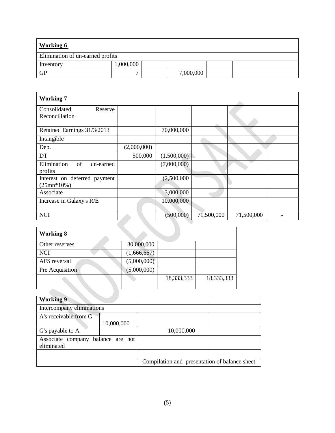| <b>Working 6</b>                 |           |  |           |  |  |
|----------------------------------|-----------|--|-----------|--|--|
| Elimination of un-earned profits |           |  |           |  |  |
| Inventory                        | 000,000.1 |  |           |  |  |
| <b>GP</b>                        |           |  | 7,000,000 |  |  |

| <b>Working 7</b>                             |             |             |                         |            |  |
|----------------------------------------------|-------------|-------------|-------------------------|------------|--|
| Consolidated<br>Reserve<br>Reconciliation    |             |             |                         |            |  |
| Retained Earnings 31/3/2013                  |             | 70,000,000  |                         |            |  |
| Intangible                                   |             |             |                         |            |  |
| Dep.                                         | (2,000,000) |             |                         |            |  |
| DT                                           | 500,000     | (1,500,000) |                         |            |  |
| Elimination<br>of<br>un-earned<br>profits    |             | (7,000,000) |                         |            |  |
| Interest on deferred payment<br>$(25mn*10%)$ |             | (2,500,000) |                         |            |  |
| Associate                                    |             | 3,000,000   |                         |            |  |
| Increase in Galaxy's R/E                     |             | 10,000,000  |                         |            |  |
| <b>NCI</b>                                   |             | (500,000)   | $7\overline{1,}500,000$ | 71,500,000 |  |

| <b>Working 8</b> |             |            |            |
|------------------|-------------|------------|------------|
| Other reserves   | 30,000,000  |            |            |
| <b>NCI</b>       | (1,666,667) |            |            |
| AFS reversal     | (5,000,000) |            |            |
| Pre Acquisition  | (5,000,000) |            |            |
|                  |             | 18,333,333 | 18,333,333 |
|                  |             |            |            |

| <b>Working 9</b>                                |            |                                               |  |
|-------------------------------------------------|------------|-----------------------------------------------|--|
| Intercompany eliminations                       |            |                                               |  |
| A's receivable from G                           | 10,000,000 |                                               |  |
| G's payable to A                                |            | 10,000,000                                    |  |
| Associate company balance are not<br>eliminated |            |                                               |  |
|                                                 |            |                                               |  |
|                                                 |            | Compilation and presentation of balance sheet |  |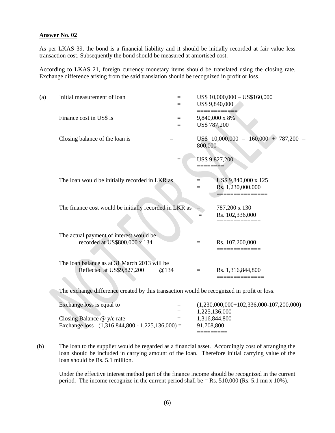As per LKAS 39, the bond is a financial liability and it should be initially recorded at fair value less transaction cost. Subsequently the bond should be measured at amortised cost.

According to LKAS 21, foreign currency monetary items should be translated using the closing rate. Exchange difference arising from the said translation should be recognized in profit or loss.

| (a) | Initial measurement of loan                                                        | $=$<br>$=$ |              | US\$ 10,000,000 - US\$160,000<br>US\$ 9,840,000 |
|-----|------------------------------------------------------------------------------------|------------|--------------|-------------------------------------------------|
|     | Finance cost in US\$ is                                                            | $=$<br>$=$ | US\$ 787,200 | 9,840,000 x 8%                                  |
|     | Closing balance of the loan is                                                     | $=$        | 800,000      | US\$ 10,000,000 -<br>$160,000 + 787,200 -$      |
|     |                                                                                    |            |              | US\$ 9,827,200                                  |
|     | The loan would be initially recorded in LKR as                                     |            | $=$<br>$=$   | US\$ 9,840,000 x 125<br>Rs. 1,230,000,000       |
|     | The finance cost would be initially recorded in LKR as                             |            | $=$          | 787,200 x 130<br>Rs. 102,336,000                |
|     | The actual payment of interest would be<br>recorded at US\$800,000 x 134           |            | $=$          | Rs. 107,200,000                                 |
|     | The loan balance as at 31 March 2013 will be<br>Reflected at US\$9,827,200<br>@134 |            | $\equiv$     | Rs. 1,316,844,800                               |

The exchange difference created by this transaction would be recognized in profit or loss.

| Exchange loss is equal to                         | $=$ | $(1,230,000,000+102,336,000-107,200,000)$ |
|---------------------------------------------------|-----|-------------------------------------------|
|                                                   | $=$ | 1.225.136.000                             |
| Closing Balance $\omega$ y/e rate                 | $=$ | 1.316.844.800                             |
| Exchange loss $(1,316,844,800 - 1,225,136,000) =$ |     | 91.708.800                                |
|                                                   |     |                                           |

(b) The loan to the supplier would be regarded as a financial asset. Accordingly cost of arranging the loan should be included in carrying amount of the loan. Therefore initial carrying value of the loan should be Rs. 5.1 million.

Under the effective interest method part of the finance income should be recognized in the current period. The income recognize in the current period shall be  $=$  Rs. 510,000 (Rs. 5.1 mn x 10%).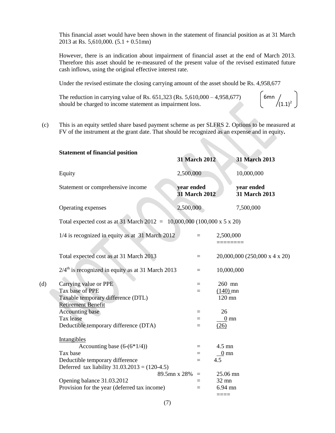This financial asset would have been shown in the statement of financial position as at 31 March 2013 at Rs. 5,610,000. (5.1 + 0.51mn)

However, there is an indication about impairment of financial asset at the end of March 2013. Therefore this asset should be re-measured of the present value of the revised estimated future cash inflows, using the original effective interest rate.

Under the revised estimate the closing carrying amount of the asset should be Rs. 4,958,677

The reduction in carrying value of Rs. 651,323 (Rs. 5,610,000 – 4,958,677) should be charged to income statement as impairment loss. 6mn  $/(1.1)^2$ 

(c) This is an equity settled share based payment scheme as per SLFRS 2. Options to be measured at FV of the instrument at the grant date. That should be recognized as an expense and in equity**.**

|     | <b>Statement of financial position</b>                                                                                                             | <b>31 March 2012</b>               |                                      | 31 March 2013                 |  |  |  |
|-----|----------------------------------------------------------------------------------------------------------------------------------------------------|------------------------------------|--------------------------------------|-------------------------------|--|--|--|
|     | Equity                                                                                                                                             | 2,500,000                          |                                      | 10,000,000                    |  |  |  |
|     | Statement or comprehensive income                                                                                                                  | year ended<br><b>31 March 2012</b> |                                      | year ended<br>31 March 2013   |  |  |  |
|     | Operating expenses                                                                                                                                 | 2,500,000                          |                                      | 7,500,000                     |  |  |  |
|     | Total expected cost as at 31 March 2012 = $10,000,000$ (100,000 x 5 x 20)                                                                          |                                    |                                      |                               |  |  |  |
|     | 1/4 is recognized in equity as at 31 March 2012                                                                                                    | $=$                                | 2,500,000                            |                               |  |  |  |
|     | Total expected cost as at 31 March 2013                                                                                                            | $=$                                |                                      | 20,000,000 (250,000 x 4 x 20) |  |  |  |
|     | $2/4$ <sup>th</sup> is recognized in equity as at 31 March 2013                                                                                    | $=$                                | 10,000,000                           |                               |  |  |  |
| (d) | Carrying value or PPE<br>Tax base of PPE<br>Taxable temporary difference (DTL)<br><b>Retirement Benefit</b><br><b>Accounting base</b><br>Tax lease | $=$<br>$=$<br>$=$                  | 260 mn<br>$(140)$ mn<br>120 mn<br>26 |                               |  |  |  |
|     | Deductible temporary difference (DTA)                                                                                                              | $=$<br>$=$                         | $0 \text{ mm}$<br>(26)               |                               |  |  |  |
|     | Intangibles<br>Accounting base $(6-(6*1/4))$                                                                                                       | $=$                                | 4.5 mn                               |                               |  |  |  |
|     | Tax base                                                                                                                                           | $=$                                | $0 \text{ mn}$                       |                               |  |  |  |
|     | Deductible temporary difference<br>Deferred tax liability $31.03.2013 = (120-4.5)$                                                                 | $=$                                | 4.5                                  |                               |  |  |  |
|     | 89.5mn x 28%                                                                                                                                       | $\quad \  \  =$                    | 25.06 mn                             |                               |  |  |  |
|     | Opening balance 31.03.2012                                                                                                                         | $=$                                | 32 mn                                |                               |  |  |  |
|     | Provision for the year (deferred tax income)                                                                                                       | $=$                                | $6.94$ mn<br>$====$                  |                               |  |  |  |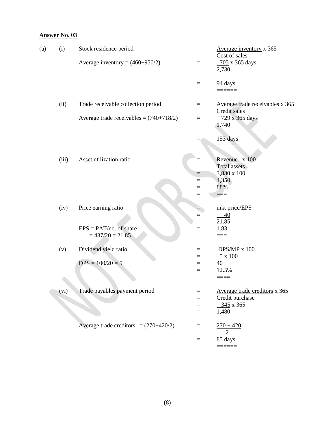| (a) | (i)   | Stock residence period                         | $=$      | Average inventory x 365<br>Cost of sales        |
|-----|-------|------------------------------------------------|----------|-------------------------------------------------|
|     |       | Average inventory = $(460+950/2)$              | $=$      | 705 x 365 days<br>2,730                         |
|     |       |                                                | $\equiv$ | 94 days<br>======                               |
|     | (ii)  | Trade receivable collection period             | $\equiv$ | Average trade receivables x 365<br>Credit sales |
|     |       | Average trade receivables = $(740+718/2)$      | $\equiv$ | 729 x 365 days<br>1,740                         |
|     |       |                                                |          | 153 days                                        |
|     | (iii) | Asset utilization ratio                        | $=$      | Revenue x 100<br>Total assets                   |
|     |       |                                                | $=$      | 3,830 x 100                                     |
|     |       |                                                | $=$      | 4,350                                           |
|     |       |                                                | $=$      | 88%                                             |
|     |       |                                                | $=$      | $=$ $=$                                         |
|     | (iv)  | Price earning ratio                            |          | mkt price/EPS                                   |
|     |       |                                                | $=$      | 40<br>21.85                                     |
|     |       | $EPS = PAT/no.$ of share<br>$= 437/20 = 21.85$ | $=$      | 1.83<br>$==$                                    |
|     | (v)   | Dividend yield ratio                           | $=$      | $DPS/MP$ x 100                                  |
|     |       |                                                | $=$      | $\underline{5}$ x 100                           |
|     |       | $DPS = 100/20 = 5$                             | $=$      | 40                                              |
|     |       |                                                | $=$      | 12.5%                                           |
|     |       |                                                |          | $====$                                          |
|     | (V1)  | Trade payables payment period                  | $=$      | Average trade creditors x 365                   |
|     |       |                                                | $=$      | Credit purchase                                 |
|     |       |                                                | $=$      | $345 \times 365$                                |
|     |       |                                                | $=$      | 1,480                                           |
|     |       | Average trade creditors = $(270+420/2)$        | $\equiv$ | $270 + 420$<br>2                                |
|     |       |                                                | $\equiv$ | 85 days                                         |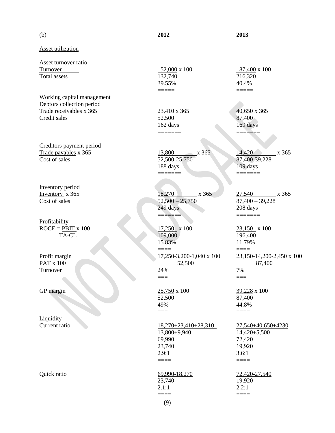(b) **2012 2013**

Asset utilization

Asset turnover ratio  $\frac{52,000}{132,740} \times 100$   $\frac{87,400}{216,320} \times 100$   $\frac{87,400}{216,320} \times 100$ Total assets 132,740

Working capital management Debtors collection period Trade receivables x 365 23,410 x 365 40,650 x 365 Credit sales 52,500 87,400

Creditors payment period Trade payables x 365 13,800 x 365 14,420 x 365 Cost of sales 52,500-25,750 87,400-39,228

Inventory period

Profitability

Liquidity

39.55% 40.4% ===== =====

162 days 169 days  $=$ 

188 days 109 days ======= =======

Inventory x 365 18,270 x 365 27,540 x 365 Cost of sales 52,500 – 25,750 87,400 – 39,228 249 days 208 days ======= =======

ROCE = <u>PBIT</u> x 100<br>TA-CL  $\frac{17,250}{109,000}$  x 100<br> $\frac{23,150}{196,400}$  x 100 TA-CL 109,000 196,400 15.83% 11.79% ==== ==== Profit margin 17,250-3,200-1,040 x 100 23,150-14,200-2,450 x 100 PAT x 100 52,500 87,400 Turnover 24% 7% === ===

GP margin 25,750 x 100 39,228 x 100 52,500 87,400 49% 44.8%

Current ratio 18,270+23,410+28,310 27,540+40,650+4230 13,800+9,940 14,420+5,500  $\frac{69,990}{23,740}$   $\frac{72,420}{19,920}$ 23,740 2.9:1 3.6:1 ==== ====

==== ====

=== ====

Quick ratio  $\frac{69,990-18,270}{72,420-27,540}$ 23,740 19,920 2.1:1 2.2:1

(9)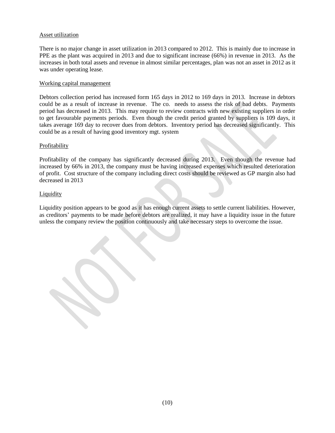#### Asset utilization

There is no major change in asset utilization in 2013 compared to 2012. This is mainly due to increase in PPE as the plant was acquired in 2013 and due to significant increase (66%) in revenue in 2013. As the increases in both total assets and revenue in almost similar percentages, plan was not an asset in 2012 as it was under operating lease.

#### Working capital management

Debtors collection period has increased form 165 days in 2012 to 169 days in 2013. Increase in debtors could be as a result of increase in revenue. The co. needs to assess the risk of bad debts. Payments period has decreased in 2013. This may require to review contracts with new existing suppliers in order to get favourable payments periods. Even though the credit period granted by suppliers is 109 days, it takes average 169 day to recover dues from debtors. Inventory period has decreased significantly. This could be as a result of having good inventory mgt. system

#### Profitability

Profitability of the company has significantly decreased during 2013. Even though the revenue had increased by 66% in 2013, the company must be having increased expenses which resulted deterioration of profit. Cost structure of the company including direct costs should be reviewed as GP margin also had decreased in 2013

#### Liquidity

Liquidity position appears to be good as it has enough current assets to settle current liabilities. However, as creditors' payments to be made before debtors are realized, it may have a liquidity issue in the future unless the company review the position continuously and take necessary steps to overcome the issue.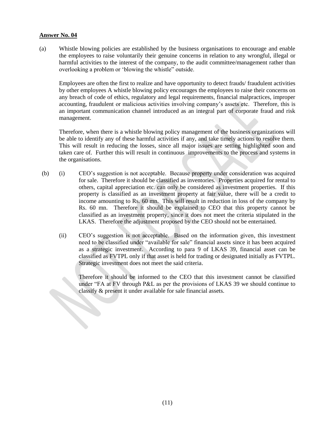(a) Whistle blowing policies are established by the business organisations to encourage and enable the employees to raise voluntarily their genuine concerns in relation to any wrongful, illegal or harmful activities to the interest of the company, to the audit committee/management rather than overlooking a problem or 'blowing the whistle" outside.

Employees are often the first to realize and have opportunity to detect frauds/ fraudulent activities by other employees A whistle blowing policy encourages the employees to raise their concerns on any breach of code of ethics, regulatory and legal requirements, financial malpractices, improper accounting, fraudulent or malicious activities involving company's assets etc. Therefore, this is an important communication channel introduced as an integral part of corporate fraud and risk management.

Therefore, when there is a whistle blowing policy management of the business organizations will be able to identify any of these harmful activities if any, and take timely actions to resolve them. This will result in reducing the losses, since all major issues are setting highlighted soon and taken care of. Further this will result in continuous improvements to the process and systems in the organisations.

- (b) (i) CEO's suggestion is not acceptable. Because property under consideration was acquired for sale. Therefore it should be classified as inventories. Properties acquired for rental to others, capital appreciation etc. can only be considered as investment properties. If this property is classified as an investment property at fair value, there will be a credit to income amounting to Rs. 60 mn. This will result in reduction in loss of the company by Rs. 60 mn. Therefore it should be explained to CEO that this property cannot be classified as an investment property, since it does not meet the criteria stipulated in the LKAS. Therefore the adjustment proposed by the CEO should not be entertained.
	- (ii) CEO's suggestion is not acceptable. Based on the information given, this investment need to be classified under "available for sale" financial assets since it has been acquired as a strategic investment. According to para 9 of LKAS 39, financial asset can be classified as FVTPL only if that asset is held for trading or designated initially as FVTPL. Strategic investment does not meet the said criteria.

Therefore it should be informed to the CEO that this investment cannot be classified under "FA at FV through P&L as per the provisions of LKAS 39 we should continue to classify & present it under available for sale financial assets.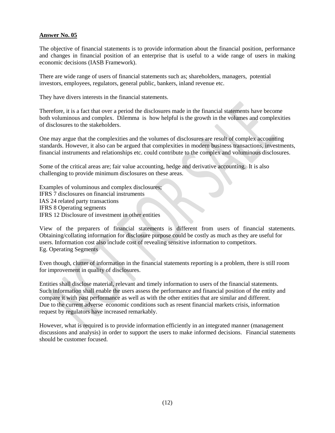The objective of financial statements is to provide information about the financial position, performance and changes in financial position of an enterprise that is useful to a wide range of users in making economic decisions (IASB Framework).

There are wide range of users of financial statements such as; shareholders, managers, potential investors, employees, regulators, general public, bankers, inland revenue etc.

They have divers interests in the financial statements.

Therefore, it is a fact that over a period the disclosures made in the financial statements have become both voluminous and complex. Dilemma is how helpful is the growth in the volumes and complexities of disclosures to the stakeholders.

One may argue that the complexities and the volumes of disclosures are result of complex accounting standards. However, it also can be argued that complexities in modern business transactions, investments, financial instruments and relationships etc. could contribute to the complex and voluminous disclosures.

Some of the critical areas are; fair value accounting, hedge and derivative accounting. It is also challenging to provide minimum disclosures on these areas.

Examples of voluminous and complex disclosures; IFRS 7 disclosures on financial instruments IAS 24 related party transactions IFRS 8 Operating segments IFRS 12 Disclosure of investment in other entities

View of the preparers of financial statements is different from users of financial statements. Obtaining/collating information for disclosure purpose could be costly as much as they are useful for users. Information cost also include cost of revealing sensitive information to competitors. Eg. Operating Segments

Even though, clutter of information in the financial statements reporting is a problem, there is still room for improvement in quality of disclosures.

Entities shall disclose material, relevant and timely information to users of the financial statements. Such information shall enable the users assess the performance and financial position of the entity and compare it with past performance as well as with the other entities that are similar and different. Due to the current adverse economic conditions such as resent financial markets crisis, information request by regulators have increased remarkably.

However, what is required is to provide information efficiently in an integrated manner (management discussions and analysis) in order to support the users to make informed decisions. Financial statements should be customer focused.